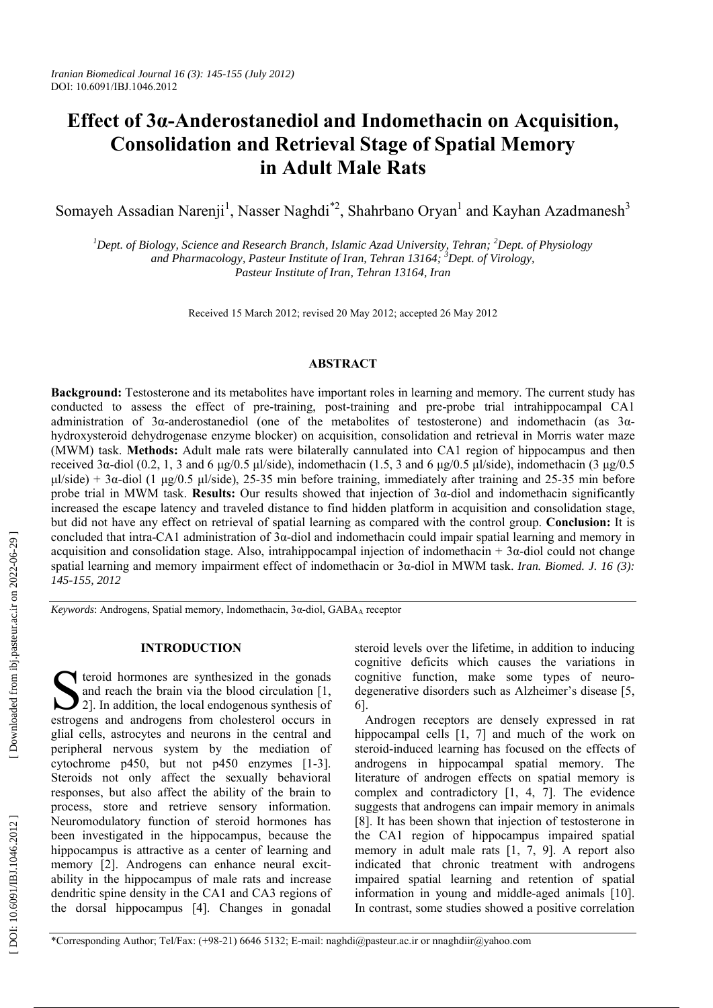# **Effect of 3 α-Anderostanediol and Indomethacin on Acquisition, Consolidation and Retrieval Stage of Spatial Memory in Adult Male Rats**

Somayeh Assadian Narenji<sup>1</sup>, Nasser Naghdi<sup>\*2</sup>, Shahrbano Oryan<sup>1</sup> and Kayhan Azadmanesh<sup>3</sup>

<sup>1</sup>Dept. of Biology, Science and Research Branch, Islamic Azad University, Tehran; <sup>2</sup>Dept. of Physiology *and Pharmacology, Pasteur Institute of Iran, Tehran 13164; 3 Dept. of Virology, Pasteur Institute of Iran, Tehran 13164, Iran*

Received 15 March 2012; revised 20 May 2012; accepted 26 May 2012

## **ABSTRACT**

**Background:** Testosterone and its metabolites have important roles in learning and memory. The current study has conducted to assess the effect of pre-training, post-training and pre-probe trial intrahippocampal CA1 administration of 3 α-anderostanediol (one of the metabolites of testosterone) and indomethacin (as 3 α hydroxysteroid dehydrogenase enzyme blocker) on acquisition, consolidation and retrieval in Morris water maze (MWM) task. **Methods:** Adult male rats were bilaterally cannulated into CA1 region of hippocampus and then received 3α-diol (0.2, 1, 3 and 6 μg/0.5 μl/side), indomethacin (1.5, 3 and 6 μg/0.5 μl/side), indomethacin (3 μg/0.5 μl/side) + 3 α-diol (1 μg/0.5 μl/side), 25-35 min before training, immediately after training and 25-35 min before probe trial in MWM task. **Results:** Our results showed that injection of 3 α-diol and indomethacin significantly increased the escape latency and traveled distance to find hidden platform in acquisition and consolidation stage, but did not have any effect on retrieval of spatial learning as compared with the control group. **Conclusion:** It is concluded that intra-CA1 administration of  $3\alpha$ -diol and indomethacin could impair spatial learning and memory in acquisition and consolidation stage. Also, intrahippocampal injection of indomethacin + 3 α-diol could not change spatial learning and memory impairment effect of indomethacin or 3 α-diol in MWM task. *Iran. Biomed. J. 16 (3): 145-155, 2012*

*Keywords*: Androgens, Spatial memory, Indomethacin, 3 α-diol, GABA <sup>A</sup> receptor

## **INTRODUCTION**

teroid hormones are synthesized in the gonads and reach the brain via the blood circulation [1, Second the brain via the blood circulation [1, 2]. In addition, the local endogenous synthesis of estrones and androgens from chalecteral occurs in estrogens and androgens from cholesterol occurs in glial cells, astrocytes and neurons in the central and peripheral nervous system by the mediation of cytochrome p450, but not p450 enzymes [1-3]. Steroids not only affect the sexually behavioral responses, but also affect the ability of the brain to process, store and retrieve sensory information. Neuromodulatory function of steroid hormones has been investigated in the hippocampus, because the hippocampus is attractive as a center of learning and memory [2]. Androgens can enhance neural excitability in the hippocampus of male rats and increase dendritic spine density in the CA1 and CA3 regions of the dorsal hippocampus [4]. Changes in gonadal

steroid levels over the lifetime, in addition to inducing cognitive deficits which causes the variations in cognitive function, make some types of neurodegenerative disorders such as Alzheimer's disease [5, 6].

Androgen receptors are densely expressed in rat hippocampal cells [1, 7] and much of the work on steroid-induced learning has focused on the effects of androgens in hippocampal spatial memory. The literature of androgen effects on spatial memory is complex and contradictory [1, 4, 7]. The evidence suggests that androgens can impair memory in animals [8]. It has been shown that injection of testosterone in the CA1 region of hippocampus impaired spatial memory in adult male rats [1, 7, 9]. A report also indicated that chronic treatment with androgens impaired spatial learning and retention of spatial information in young and middle-aged animals [10]. In contrast, some studies showed a positive correlation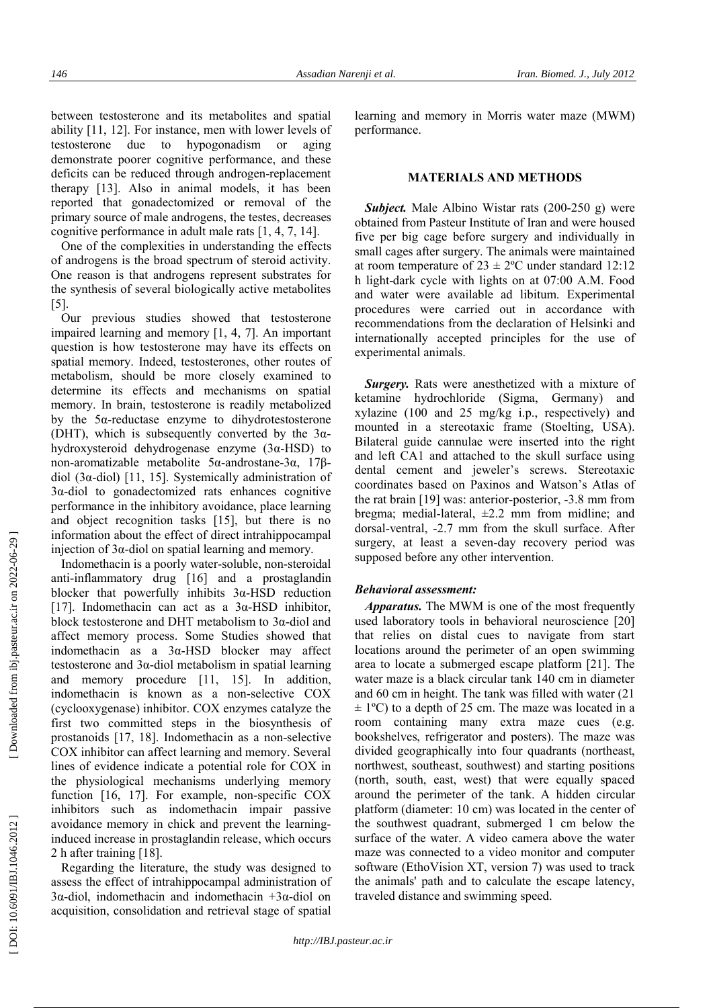between testosterone and its metabolites and spatial ability [11, 12]. For instance, men with lower levels of testosterone due to hypogonadism or aging demonstrate poorer cognitive performance, and these deficits can be reduced through androgen-replacement therapy [13]. Also in animal models, it has been reported that gonadectomized or removal of the primary source of male androgens, the testes, decreases cognitive performance in adult male rats [1, 4, 7, 14].

One of the complexities in understanding the effects of androgens is the broad spectrum of steroid activity. One reason is that androgens represent substrates for the synthesis of several biologically active metabolites [5].

Our previous studies showed that testosterone impaired learning and memory [1, 4, 7]. An important question is how testosterone may have its effects on spatial memory. Indeed, testosterones, other routes of metabolism, should be more closely examined to determine its effects and mechanisms on spatial memory. In brain, testosterone is readily metabolized by the 5 α-reductase enzyme to dihydrotestosterone (DHT), which is subsequently converted by the  $3\alpha$ hydroxysteroid dehydrogenase enzyme (3 α-HSD) to non-aromatizable metabolite 5 α-androstane-3 α, 17 β diol (3 α-diol) [11, 15]. Systemically administration of 3 α-diol to gonadectomized rats enhances cognitive performance in the inhibitory avoidance, place learning and object recognition tasks [15], but there is no information about the effect of direct intrahippocampal injection of 3 α-diol on spatial learning and memory.

Indomethacin is a poorly water-soluble, non-steroidal anti-inflammatory drug [16] and a prostaglandin blocker that powerfully inhibits  $3\alpha$ -HSD reduction [17]. Indomethacin can act as a  $3\alpha$ -HSD inhibitor, block testosterone and DHT metabolism to 3 α-diol and affect memory process. Some Studies showed that indomethacin as a 3 α-HSD blocker may affect testosterone and 3 α-diol metabolism in spatial learning and memory procedure [11, 15]. In addition, indomethacin is known as a non-selective COX (cyclooxygenase) inhibitor. COX enzymes catalyze the first two committed steps in the biosynthesis of prostanoids [17, 18]. Indomethacin as a non-selective COX inhibitor can affect learning and memory. Several lines of evidence indicate a potential role for COX in the physiological mechanisms underlying memory function [16, 17]. For example, non-specific COX inhibitors such as indomethacin impair passive avoidance memory in chick and prevent the learninginduced increase in prostaglandin release, which occurs 2 h after training [18].

Regarding the literature, the study was designed to assess the effect of intrahippocampal administration of 3α-diol, indomethacin and indomethacin +3α-diol on acquisition, consolidation and retrieval stage of spatial

learning and memory in Morris water maze (MWM) performance.

# **MATERIALS AND METHODS**

*Subject.* Male Albino Wistar rats (200-250 g) were obtained from Pasteur Institute of Iran and were housed five per big cage before surgery and individually in small cages after surgery. The animals were maintained at room temperature of  $23 \pm 2$ °C under standard 12:12 h light-dark cycle with lights on at 07:00 A.M. Food and water were available ad libitum. Experimental procedures were carried out in accordance with recommendations from the declaration of Helsinki and internationally accepted principles for the use of experimental animals.

*Surgery.* Rats were anesthetized with a mixture of ketamine hydrochloride (Sigma, Germany) and xylazine (100 and 25 mg/kg i.p., respectively) and mounted in a stereotaxic frame (Stoelting, USA). Bilateral guide cannulae were inserted into the right and left CA1 and attached to the skull surface using dental cement and jeweler's screws. Stereotaxic coordinates based on Paxinos and Watson's Atlas of the rat brain [19] was: anterior-posterior, -3.8 mm from bregma; medial-lateral, ±2.2 mm from midline; and dorsal-ventral, -2.7 mm from the skull surface. After surgery, at least a seven-day recovery period was supposed before any other intervention.

#### *Behavioral assessment:*

*Apparatus.* The MWM is one of the most frequently used laboratory tools in behavioral neuroscience [20] that relies on distal cues to navigate from start locations around the perimeter of an open swimming area to locate a submerged escape platform [21]. The water maze is a black circular tank 140 cm in diameter and 60 cm in height. The tank was filled with water (21  $\pm$  1<sup>o</sup>C) to a depth of 25 cm. The maze was located in a room containing many extra maze cues (e.g. bookshelves, refrigerator and posters). The maze was divided geographically into four quadrants (northeast, northwest, southeast, southwest) and starting positions (north, south, east, west) that were equally spaced around the perimeter of the tank. A hidden circular platform (diameter: 10 cm) was located in the center of the southwest quadrant, submerged 1 cm below the surface of the water. A video camera above the water maze was connected to a video monitor and computer software (EthoVision XT, version 7) was used to track the animals' path and to calculate the escape latency, traveled distance and swimming speed.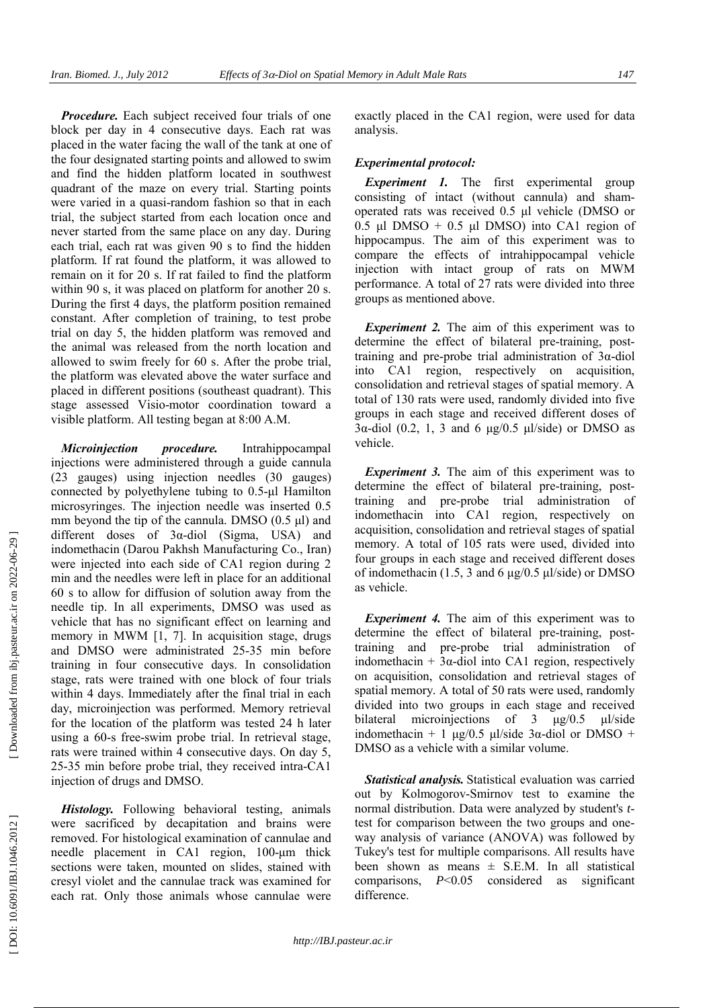*Procedure.* Each subject received four trials of one block per day in 4 consecutive days. Each rat was placed in the water facing the wall of the tank at one of the four designated starting points and allowed to swim and find the hidden platform located in southwest quadrant of the maze on every trial. Starting points were varied in a quasi-random fashion so that in each trial, the subject started from each location once and never started from the same place on any day. During each trial, each rat was given 90 s to find the hidden platform. If rat found the platform, it was allowed to remain on it for 20 s. If rat failed to find the platform within 90 s, it was placed on platform for another 20 s. During the first 4 days, the platform position remained constant. After completion of training, to test probe trial on day 5, the hidden platform was removed and the animal was released from the north location and allowed to swim freely for 60 s. After the probe trial, the platform was elevated above the water surface and placed in different positions (southeast quadrant). This stage assessed Visio-motor coordination toward a visible platform. All testing began at 8:00 A.M.

*Microinjection procedure.* Intrahippocampal injections were administered through a guide cannula (23 gauges) using injection needles (30 gauges) connected by polyethylene tubing to 0.5-μl Hamilton microsyringes. The injection needle was inserted 0.5 mm beyond the tip of the cannula. DMSO (0.5 μl) and different doses of 3α-diol (Sigma, USA) and indomethacin (Darou Pakhsh Manufacturing Co., Iran) were injected into each side of CA1 region during 2 min and the needles were left in place for an additional 60 s to allow for diffusion of solution away from the needle tip. In all experiments, DMSO was used as vehicle that has no significant effect on learning and memory in MWM [1, 7]. In acquisition stage, drugs and DMSO were administrated 25-35 min before training in four consecutive days. In consolidation stage, rats were trained with one block of four trials within 4 days. Immediately after the final trial in each day, microinjection was performed. Memory retrieval for the location of the platform was tested 24 h later using a 60-s free-swim probe trial. In retrieval stage, rats were trained within 4 consecutive days. On day 5, 25-35 min before probe trial, they received intra-CA1 injection of drugs and DMSO.

*Histology.* Following behavioral testing, animals were sacrificed by decapitation and brains were removed. For histological examination of cannulae and needle placement in CA1 region, 100-μm thick sections were taken, mounted on slides, stained with cresyl violet and the cannulae track was examined for each rat. Only those animals whose cannulae were exactly placed in the CA1 region, were used for data analysis.

#### *Experimental protocol:*

**Experiment 1.** The first experimental group consisting of intact (without cannula) and shamoperated rats was received 0.5 μl vehicle (DMSO or 0.5 μl DMSO + 0.5 μl DMSO) into CA1 region of hippocampus. The aim of this experiment was to compare the effects of intrahippocampal vehicle injection with intact group of rats on MWM performance. A total of 27 rats were divided into three groups as mentioned above.

**Experiment 2.** The aim of this experiment was to determine the effect of bilateral pre-training, posttraining and pre-probe trial administration of 3α-diol into CA1 region, respectively on acquisition, consolidation and retrieval stages of spatial memory. A total of 130 rats were used, randomly divided into five groups in each stage and received different doses of 3α-diol (0.2, 1, 3 and 6 μg/0.5 μl/side) or DMSO as vehicle.

*Experiment 3.* The aim of this experiment was to determine the effect of bilateral pre-training, posttraining and pre-probe trial administration of indomethacin into CA1 region, respectively on acquisition, consolidation and retrieval stages of spatial memory. A total of 105 rats were used, divided into four groups in each stage and received different doses of indomethacin (1.5, 3 and 6 μg/0.5 μl/side) or DMSO as vehicle.

*Experiment 4.* The aim of this experiment was to determine the effect of bilateral pre-training, posttraining and pre-probe trial administration of indomethacin +  $3\alpha$ -diol into CA1 region, respectively on acquisition, consolidation and retrieval stages of spatial memory. A total of 50 rats were used, randomly divided into two groups in each stage and received bilateral microinjections of 3 μg/0.5 μl/side indomethacin + 1  $\mu$ g/0.5  $\mu$ l/side 3 $\alpha$ -diol or DMSO + DMSO as a vehicle with a similar volume.

*Statistical analysis.* Statistical evaluation was carried out by Kolmogorov-Smirnov test to examine the normal distribution. Data were analyzed by student's *t* test for comparison between the two groups and oneway analysis of variance (ANOVA) was followed by Tukey's test for multiple comparisons. All results have been shown as means  $\pm$  S.E.M. In all statistical comparisons, *P*<0.05 considered as significant difference.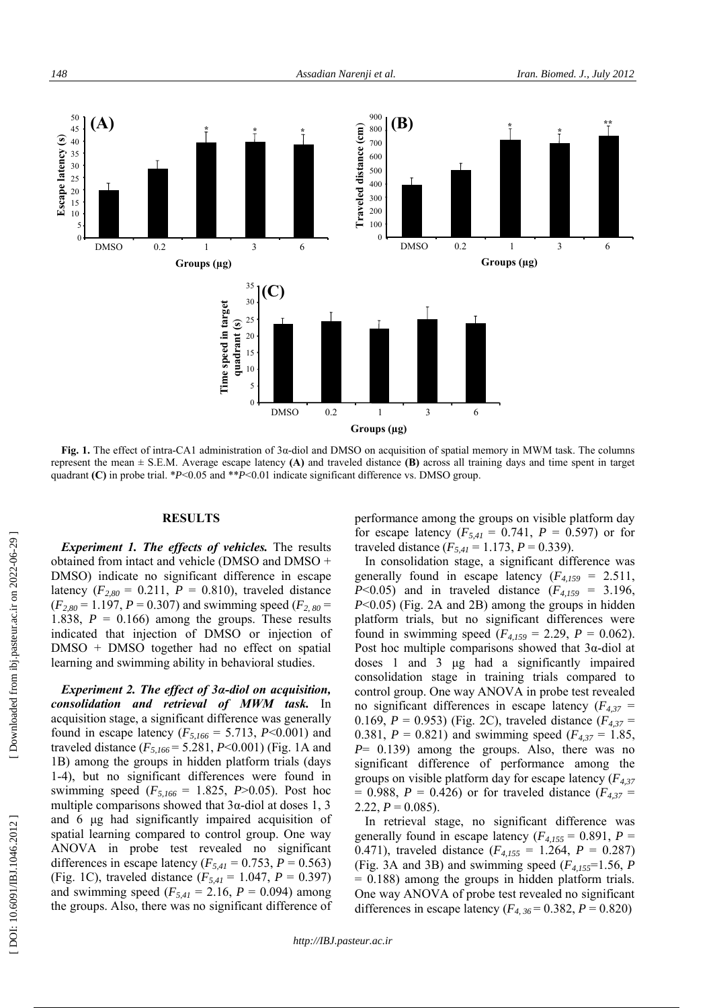

**Fig. 1.** The effect of intra-CA1 administration of 3 α-diol and DMSO on acquisition of spatial memory in MWM task. The columns represent the mean ± S.E.M. Average escape latency **(A)** and traveled distance **(B)** across all training days and time spent in target quadrant **(C)** in probe trial. \**P*<0.05 and \*\**P*<0.01 indicate significant difference vs. DMSO group.

# **RESULTS**

*Experiment 1. The effects of vehicles.* The results obtained from intact and vehicle (DMSO and DMSO + DMSO) indicate no significant difference in escape latency  $(F_{2,80} = 0.211, P = 0.810)$ , traveled distance  $(F_{2,80} = 1.197, P = 0.307)$  and swimming speed  $(F_{2,80} =$ 1.838,  $P = 0.166$ ) among the groups. These results indicated that injection of DMSO or injection of DMSO + DMSO together had no effect on spatial learning and swimming ability in behavioral studies.

*Experiment 2. The effect of 3 α-diol on acquisition, consolidation and retrieval of MWM task.* In acquisition stage, a significant difference was generally found in escape latency ( $F_{5,166} = 5.713$ ,  $P < 0.001$ ) and traveled distance  $(F_{5,166} = 5.281, P < 0.001)$  (Fig. 1A and 1B) among the groups in hidden platform trials (days 1-4), but no significant differences were found in swimming speed  $(F_{5,166} = 1.825, P > 0.05)$ . Post hoc multiple comparisons showed that  $3\alpha$ -diol at doses 1, 3 and 6 μg had significantly impaired acquisition of spatial learning compared to control group. One way ANOVA in probe test revealed no significant differences in escape latency ( $F_{5,41} = 0.753$ ,  $P = 0.563$ ) (Fig. 1C), traveled distance  $(F_{5,41} = 1.047, P = 0.397)$ and swimming speed  $(F_{5,41} = 2.16, P = 0.094)$  among the groups. Also, there was no significant difference of

performance among the groups on visible platform day for escape latency  $(F_{5,41} = 0.741, P = 0.597)$  or for traveled distance  $(F_{5,41} = 1.173, P = 0.339)$ .

In consolidation stage, a significant difference was generally found in escape latency  $(F_{4,159} = 2.511,$ *P*<0.05) and in traveled distance  $(F_{4,159} = 3.196)$ , *P*<0.05) (Fig. 2A and 2B) among the groups in hidden platform trials, but no significant differences were found in swimming speed  $(F_{4,159} = 2.29, P = 0.062)$ . Post hoc multiple comparisons showed that  $3\alpha$ -diol at doses 1 and 3 μg had a significantly impaired consolidation stage in training trials compared to control group. One way ANOVA in probe test revealed no significant differences in escape latency  $(F_{4,37})$ 0.169,  $P = 0.953$ ) (Fig. 2C), traveled distance ( $F_{4,37} =$ 0.381,  $P = 0.821$ ) and swimming speed ( $F_{4,37} = 1.85$ , *P*= 0.139) among the groups. Also, there was no significant difference of performance among the groups on visible platform day for escape latency ( *F4,37*  $= 0.988, P = 0.426$  or for traveled distance ( $F_{4,37} =$  $2.22, P = 0.085$ .

In retrieval stage, no significant difference was generally found in escape latency  $(F_{4,155} = 0.891, P =$ 0.471), traveled distance  $(F_{4,155} = 1.264, P = 0.287)$ (Fig. 3A and 3B) and swimming speed  $(F_{4,155}=1.56, P)$  $= 0.188$ ) among the groups in hidden platform trials. One way ANOVA of probe test revealed no significant differences in escape latency  $(F_{4, 36} = 0.382, P = 0.820)$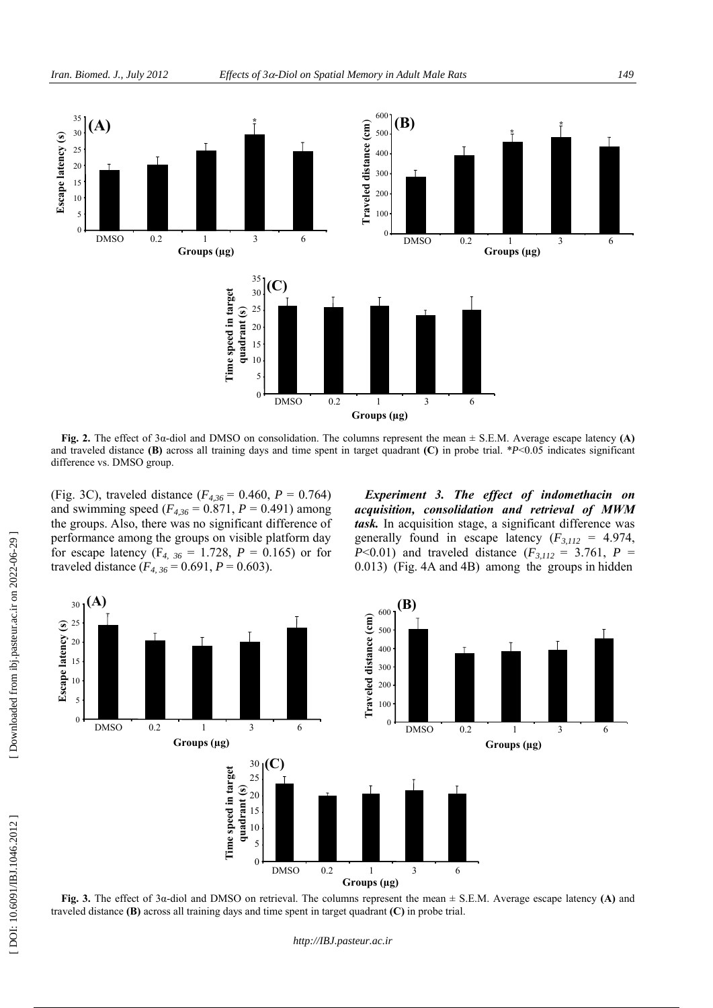

**Fig. 2.** The effect of 3 α-diol and DMSO on consolidation. The columns represent the mean ± S.E.M. Average escape latency **(A)**  and traveled distance **(B)** across all training days and time spent in target quadrant **(C)** in probe trial. \* *P*<0.05 indicates significant difference vs. DMSO group.

(Fig. 3C), traveled distance  $(F_{4,36} = 0.460, P = 0.764)$ and swimming speed  $(F_{4,36} = 0.871, P = 0.491)$  among the groups. Also, there was no significant difference of performance among the groups on visible platform day for escape latency ( $F_{4, 36} = 1.728$ ,  $P = 0.165$ ) or for traveled distance  $(F_{4, 36} = 0.691, P = 0.603)$ .

*Experiment 3. The effect of indomethacin on acquisition, consolidation and retrieval of MWM task.* In acquisition stage, a significant difference was generally found in escape latency  $(F_{3,112} = 4.974)$ , *P*<0.01) and traveled distance  $(F_{3,112} = 3.761, P =$ 0.013) (Fig. 4A and 4B) among the groups in hidden



**Fig. 3.** The effect of 3 α-diol and DMSO on retrieval. The columns represent the mean ± S.E.M. Average escape latency **(A)** and traveled distance **(B)** across all training days and time spent in target quadrant **(C)** in probe trial.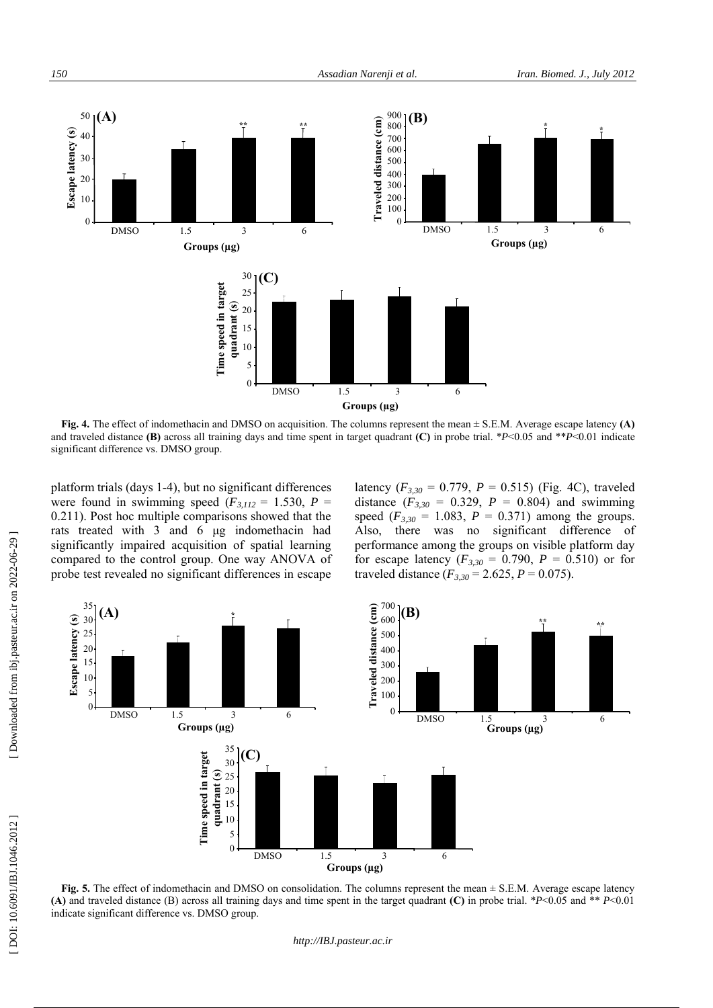

and traveled distance **(B)** across all training days and time spent in target quadrant **(C)** in probe trial. \* *P*<0.05 and \*\* *P*<0.01 indicate significant difference vs. DMSO group.

platform trials (days 1-4), but no significant differences were found in swimming speed  $(F_{3,112} = 1.530, P =$ 0.211). Post hoc multiple comparisons showed that the rats treated with 3 and 6 μg indomethacin had significantly impaired acquisition of spatial learning compared to the control group. One way ANOVA of probe test revealed no significant differences in escape

latency  $(F_{3,30} = 0.779, P = 0.515)$  (Fig. 4C), traveled distance  $(F_{3,30} = 0.329, P = 0.804)$  and swimming speed  $(F_{3,30} = 1.083, P = 0.371)$  among the groups. Also, there was no significant difference of performance among the groups on visible platform day for escape latency  $(F_{3,30} = 0.790, P = 0.510)$  or for traveled distance  $(F_{3,30} = 2.625, P = 0.075)$ .



**Fig. 5.** The effect of indomethacin and DMSO on consolidation. The columns represent the mean  $\pm$  S.E.M. Average escape latency **(A)** and traveled distance (B) across all training days and time spent in the target quadrant **(C)** in probe trial. \* *P*<0.05 and \*\* *P*<0.01 indicate significant difference vs. DMSO group.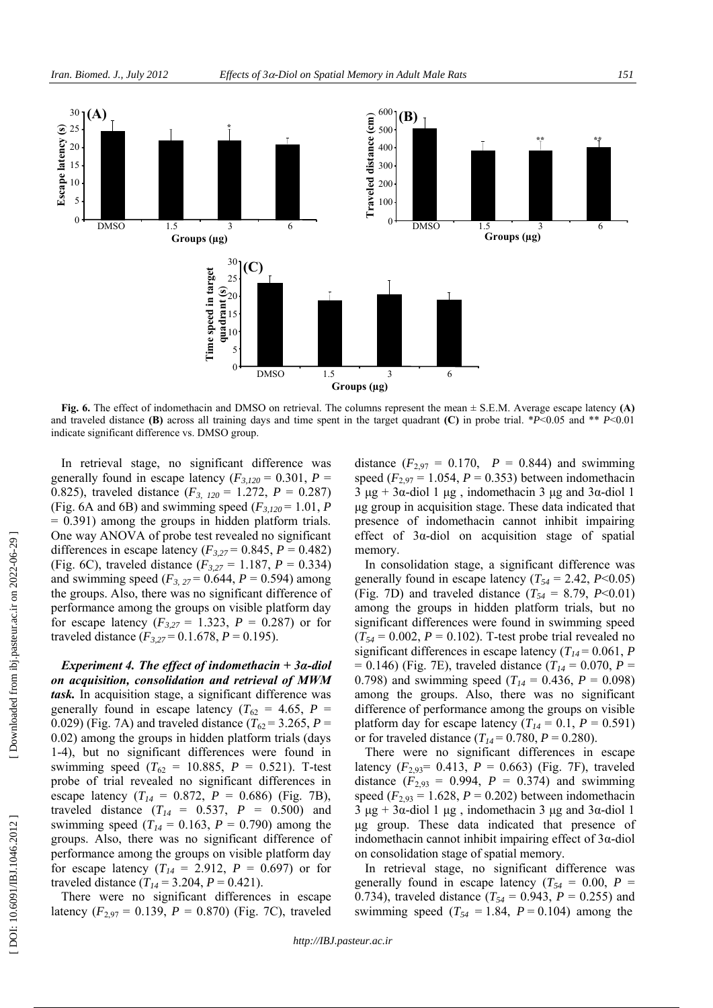

**Fig. 6.** The effect of indomethacin and DMSO on retrieval. The columns represent the mean ± S.E.M. Average escape latency **(A)** and traveled distance **(B)** across all training days and time spent in the target quadrant **(C)** in probe trial. \* *P*<0.05 and \*\* *P*<0.01 indicate significant difference vs. DMSO group.

In retrieval stage, no significant difference was generally found in escape latency  $(F_{3,120} = 0.301, P =$ 0.825), traveled distance  $(F_{3, 120} = 1.272, P = 0.287)$ (Fig. 6A and 6B) and swimming speed  $(F_{3,120} = 1.01, P)$ = 0.391) among the groups in hidden platform trials. One way ANOVA of probe test revealed no significant differences in escape latency  $(F_{3,27} = 0.845, P = 0.482)$ (Fig. 6C), traveled distance  $(F_{3,27} = 1.187, P = 0.334)$ and swimming speed  $(F_{3, 27} = 0.644, P = 0.594)$  among the groups. Also, there was no significant difference of performance among the groups on visible platform day for escape latency  $(F_{3,27} = 1.323, P = 0.287)$  or for traveled distance  $(F_{3,27} = 0.1.678, P = 0.195)$ .

*Experiment 4. The effect of indomethacin + 3 α-diol on acquisition, consolidation and retrieval of MWM task.* In acquisition stage, a significant difference was generally found in escape latency ( $T_{62} = 4.65$ ,  $P =$ 0.029) (Fig. 7A) and traveled distance  $(T_{62} = 3.265, P =$ 0.02) among the groups in hidden platform trials (days 1-4), but no significant differences were found in swimming speed ( $T_{62} = 10.885$ ,  $P = 0.521$ ). T-test probe of trial revealed no significant differences in escape latency  $(T_{14} = 0.872, P = 0.686)$  (Fig. 7B), traveled distance  $(T_{14} = 0.537, P = 0.500)$  and swimming speed ( $T_{14} = 0.163$ ,  $P = 0.790$ ) among the groups. Also, there was no significant difference of performance among the groups on visible platform day for escape latency  $(T_{14} = 2.912, P = 0.697)$  or for traveled distance  $(T_{14} = 3.204, P = 0.421)$ .

There were no significant differences in escape latency  $(F_{2,97} = 0.139, P = 0.870)$  (Fig. 7C), traveled

distance  $(F_{2,97} = 0.170, P = 0.844)$  and swimming speed ( $F_{2,97} = 1.054$ ,  $P = 0.353$ ) between indomethacin 3 μg + 3α-diol 1 μg, indomethacin 3 μg and 3α-diol 1 μg group in acquisition stage. These data indicated that presence of indomethacin cannot inhibit impairing effect of 3 α-diol on acquisition stage of spatial memory.

In consolidation stage, a significant difference was generally found in escape latency  $(T_{54} = 2.42, P<0.05)$ (Fig. 7D) and traveled distance  $(T_{54} = 8.79, P<0.01)$ among the groups in hidden platform trials, but no significant differences were found in swimming speed  $(T_{54} = 0.002, P = 0.102)$ . T-test probe trial revealed no significant differences in escape latency  $(T_{14} = 0.061, P)$  $= 0.146$ ) (Fig. 7E), traveled distance ( $T_{14} = 0.070$ ,  $P =$ 0.798) and swimming speed  $(T_{14} = 0.436, P = 0.098)$ among the groups. Also, there was no significant difference of performance among the groups on visible platform day for escape latency  $(T_{14} = 0.1, P = 0.591)$ or for traveled distance  $(T_{14} = 0.780, P = 0.280)$ .

There were no significant differences in escape latency  $(F_{2,93} = 0.413, P = 0.663)$  (Fig. 7F), traveled distance  $(F_{2,93} = 0.994, P = 0.374)$  and swimming speed  $(F_{2,93} = 1.628, P = 0.202)$  between indomethacin  $3 \mu g + 3\alpha$ -diol 1  $\mu g$ , indomethacin 3  $\mu g$  and 3 $\alpha$ -diol 1 μg group. These data indicated that presence of indomethacin cannot inhibit impairing effect of  $3\alpha$ -diol on consolidation stage of spatial memory.

In retrieval stage, no significant difference was generally found in escape latency ( $T_{54} = 0.00$ ,  $P =$ 0.734), traveled distance  $(T_{54} = 0.943, P = 0.255)$  and swimming speed  $(T_{54} = 1.84, P = 0.104)$  among the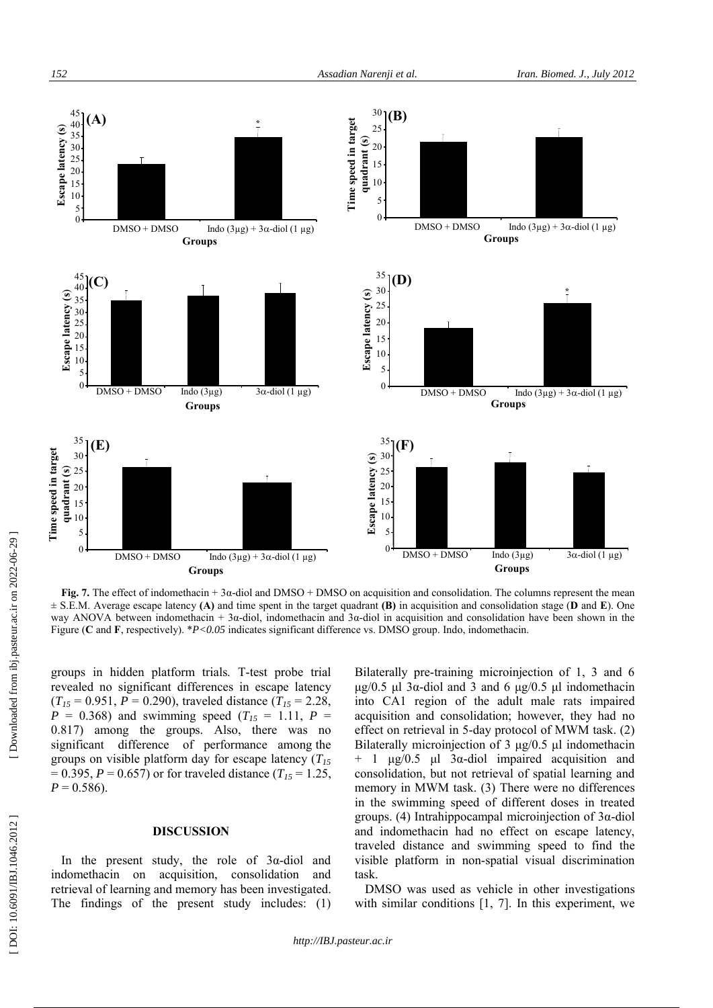

**Fig. 7.** The effect of indomethacin + 3 α-diol and DMSO + DMSO on acquisition and consolidation. The columns represent the mean ± S.E.M. Average escape latency **(A)** and time spent in the target quadrant **(B)** in acquisition and consolidation stage ( **D** and **E**). One way ANOVA between indomethacin + 3 $\alpha$ -diol, indomethacin and 3 $\alpha$ -diol in acquisition and consolidation have been shown in the Figure ( **C** and **F**, respectively). \**P<0.05* indicates significant difference vs. DMSO group. Indo, indomethacin.

groups in hidden platform trials. T-test probe trial revealed no significant differences in escape latency  $(T_{15} = 0.951, P = 0.290)$ , traveled distance  $(T_{15} = 2.28, P)$  $P = 0.368$ ) and swimming speed ( $T_{15} = 1.11$ ,  $P =$ 0.817) among the groups. Also, there was no significant difference of performance among the groups on visible platform day for escape latency ( *T15*  $= 0.395, P = 0.657$  or for traveled distance ( $T_{15} = 1.25$ ,  $P = 0.586$ .

### **DISCUSSION**

In the present study, the role of  $3\alpha$ -diol and indomethacin on acquisition, consolidation and retrieval of learning and memory has been investigated. The findings of the present study includes: (1)

Bilaterally pre-training microinjection of 1, 3 and 6 μg/0.5 μl 3α-diol and 3 and 6 μg/0.5 μl indomethacin into CA1 region of the adult male rats impaired acquisition and consolidation; however, they had no effect on retrieval in 5-day protocol of MWM task. (2) Bilaterally microinjection of 3 μg/0.5 μl indomethacin  $+$  1 μg/0.5 μl 3α-diol impaired acquisition and consolidation, but not retrieval of spatial learning and memory in MWM task. (3) There were no differences in the swimming speed of different doses in treated groups. (4) Intrahippocampal microinjection of 3 α-diol and indomethacin had no effect on escape latency, traveled distance and swimming speed to find the visible platform in non-spatial visual discrimination task.

DMSO was used as vehicle in other investigations with similar conditions [1, 7]. In this experiment, we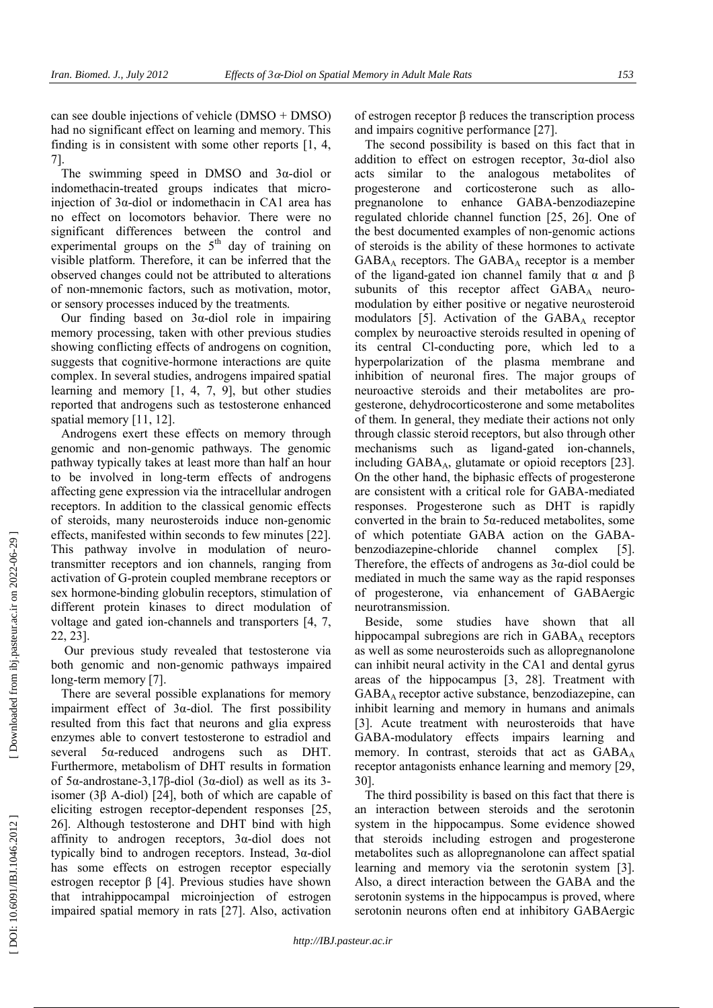can see double injections of vehicle (DMSO + DMSO) had no significant effect on learning and memory. This finding is in consistent with some other reports [1, 4, 7].

The swimming speed in DMSO and  $3\alpha$ -diol or indomethacin-treated groups indicates that microinjection of 3α-diol or indomethacin in CA1 area has no effect on locomotors behavior. There were no significant differences between the control and experimental groups on the  $5<sup>th</sup>$  day of training on visible platform. Therefore, it can be inferred that the observed changes could not be attributed to alterations of non-mnemonic factors, such as motivation, motor, or sensory processes induced by the treatments.

Our finding based on  $3\alpha$ -diol role in impairing memory processing, taken with other previous studies showing conflicting effects of androgens on cognition, suggests that cognitive-hormone interactions are quite complex. In several studies, androgens impaired spatial learning and memory [1, 4, 7, 9], but other studies reported that androgens such as testosterone enhanced spatial memory [11, 12].

Androgens exert these effects on memory through genomic and non-genomic pathways. The genomic pathway typically takes at least more than half an hour to be involved in long-term effects of androgens affecting gene expression via the intracellular androgen receptors. In addition to the classical genomic effects of steroids, many neurosteroids induce non-genomic effects, manifested within seconds to few minutes [22]. This pathway involve in modulation of neurotransmitter receptors and ion channels, ranging from activation of G-protein coupled membrane receptors or sex hormone-binding globulin receptors, stimulation of different protein kinases to direct modulation of voltage and gated ion-channels and transporters [4, 7, 22, 23].

Our previous study revealed that testosterone via both genomic and non-genomic pathways impaired long-term memory [7].

There are several possible explanations for memory impairment effect of  $3\alpha$ -diol. The first possibility resulted from this fact that neurons and glia express enzymes able to convert testosterone to estradiol and several α-reduced androgens such as DHT. Furthermore, metabolism of DHT results in formation of 5α-androstane-3,17β-diol (3α-diol) as well as its 3isomer (3β A-diol) [24], both of which are capable of eliciting estrogen receptor-dependent responses [25, 26]. Although testosterone and DHT bind with high affinity to androgen receptors, 3 α-diol does not typically bind to androgen receptors. Instead, 3 α-diol has some effects on estrogen receptor especially estrogen receptor  $β$  [4]. Previous studies have shown that intrahippocampal microinjection of estrogen impaired spatial memory in rats [27]. Also, activation

of estrogen receptor β reduces the transcription process and impairs cognitive performance [27].

The second possibility is based on this fact that in addition to effect on estrogen receptor, 3 α-diol also acts similar to the analogous metabolites of progesterone and corticosterone such as allopregnanolone to enhance GABA-benzodiazepine regulated chloride channel function [25, 26]. One of the best documented examples of non-genomic actions of steroids is the ability of these hormones to activate GABA <sup>A</sup> receptors. The GABA <sup>A</sup> receptor is a member of the ligand-gated ion channel family that  $\alpha$  and  $\beta$ subunits of this receptor affect GABAA neuromodulation by either positive or negative neurosteroid modulators [5]. Activation of the GABA <sup>A</sup> receptor complex by neuroactive steroids resulted in opening of its central Cl-conducting pore, which led to a hyperpolarization of the plasma membrane and inhibition of neuronal fires. The major groups of neuroactive steroids and their metabolites are progesterone, dehydrocorticosterone and some metabolites of them. In general, they mediate their actions not only through classic steroid receptors, but also through other mechanisms such as ligand-gated ion-channels, including GABA A, glutamate or opioid receptors [23]. On the other hand, the biphasic effects of progesterone are consistent with a critical role for GABA-mediated responses. Progesterone such as DHT is rapidly converted in the brain to  $5\alpha$ -reduced metabolites, some of which potentiate GABA action on the GABAbenzodiazepine-chloride channel complex [5]. Therefore, the effects of androgens as  $3\alpha$ -diol could be mediated in much the same way as the rapid responses of progesterone, via enhancement of GABAergic neurotransmission.

Beside, some studies have shown that all hippocampal subregions are rich in GABA <sup>A</sup> receptors as well as some neurosteroids such as allopregnanolone can inhibit neural activity in the CA1 and dental gyrus areas of the hippocampus [3, 28]. Treatment with GABAA receptor active substance, benzodiazepine, can inhibit learning and memory in humans and animals [3]. Acute treatment with neurosteroids that have GABA-modulatory effects impairs learning and memory. In contrast, steroids that act as GABA A receptor antagonists enhance learning and memory [29, 30].

The third possibility is based on this fact that there is an interaction between steroids and the serotonin system in the hippocampus. Some evidence showed that steroids including estrogen and progesterone metabolites such as allopregnanolone can affect spatial learning and memory via the serotonin system [3]. Also, a direct interaction between the GABA and the serotonin systems in the hippocampus is proved, where serotonin neurons often end at inhibitory GABAergic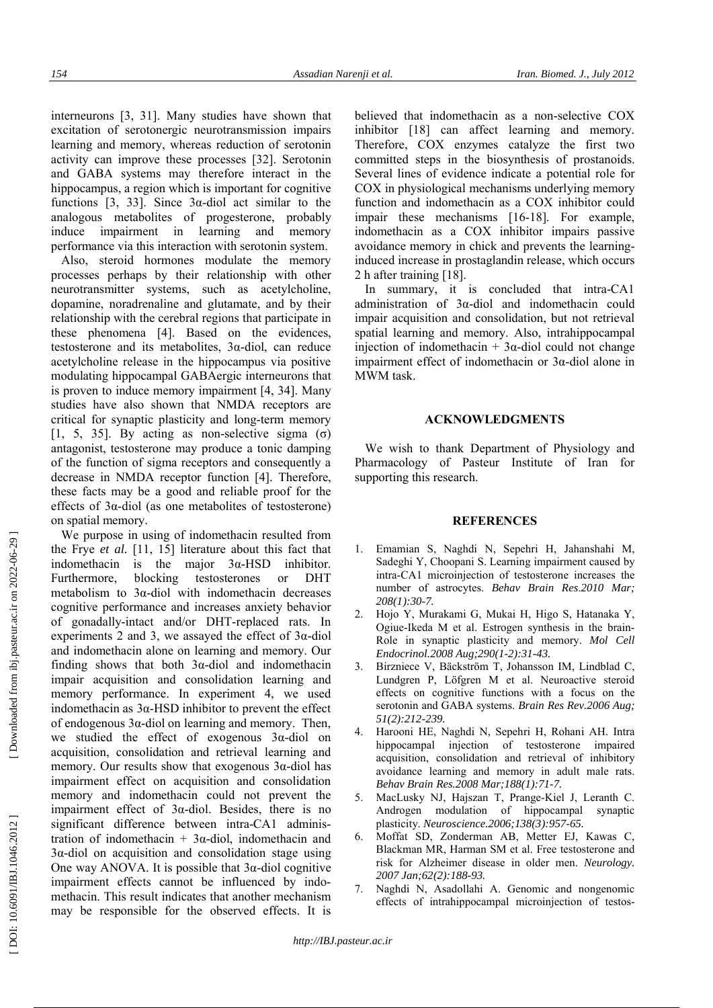interneurons [3, 31]. Many studies have shown that excitation of serotonergic neurotransmission impairs learning and memory, whereas reduction of serotonin activity can improve these processes [32]. Serotonin and GABA systems may therefore interact in the hippocampus, a region which is important for cognitive functions [3, 33]. Since  $3\alpha$ -diol act similar to the analogous metabolites of progesterone, probably induce impairment in learning and memory performance via this interaction with serotonin system.

Also, steroid hormones modulate the memory processes perhaps by their relationship with other neurotransmitter systems, such as acetylcholine, dopamine, noradrenaline and glutamate, and by their relationship with the cerebral regions that participate in these phenomena [4]. Based on the evidences, testosterone and its metabolites, 3 α-diol, can reduce acetylcholine release in the hippocampus via positive modulating hippocampal GABAergic interneurons that is proven to induce memory impairment [4, 34]. Many studies have also shown that NMDA receptors are critical for synaptic plasticity and long-term memory [1, 5, 35]. By acting as non-selective sigma ( $\sigma$ ) antagonist, testosterone may produce a tonic damping of the function of sigma receptors and consequently a decrease in NMDA receptor function [4]. Therefore, these facts may be a good and reliable proof for the effects of 3 α-diol (as one metabolites of testosterone) on spatial memory.

We purpose in using of indomethacin resulted from the Frye *et al.* [11, 15] literature about this fact that indomethacin is the major  $3\alpha$ -HSD inhibitor. Furthermore, blocking testosterones or DHT metabolism to 3 α-diol with indomethacin decreases cognitive performance and increases anxiety behavior of gonadally-intact and/or DHT-replaced rats. In experiments 2 and 3, we assayed the effect of  $3\alpha$ -diol and indomethacin alone on learning and memory. Our finding shows that both  $3\alpha$ -diol and indomethacin impair acquisition and consolidation learning and memory performance. In experiment 4, we used indomethacin as  $3\alpha$ -HSD inhibitor to prevent the effect of endogenous 3 α-diol on learning and memory. Then, we studied the effect of exogenous 3 α-diol on acquisition, consolidation and retrieval learning and memory. Our results show that exogenous 3α-diol has impairment effect on acquisition and consolidation memory and indomethacin could not prevent the impairment effect of 3 α-diol. Besides, there is no significant difference between intra-CA1 administration of indomethacin + 3<sup>α</sup>-diol, indomethacin and 3α-diol on acquisition and consolidation stage using One way ANOVA. It is possible that  $3\alpha$ -diol cognitive impairment effects cannot be influenced by indomethacin. This result indicates that another mechanism may be responsible for the observed effects. It is

believed that indomethacin as a non-selective COX inhibitor [18] can affect learning and memory. Therefore, COX enzymes catalyze the first two committed steps in the biosynthesis of prostanoids. Several lines of evidence indicate a potential role for COX in physiological mechanisms underlying memory function and indomethacin as a COX inhibitor could impair these mechanisms [16-18]. For example, indomethacin as a COX inhibitor impairs passive avoidance memory in chick and prevents the learninginduced increase in prostaglandin release, which occurs 2 h after training [18].

In summary, it is concluded that intra-CA1 administration of 3 α-diol and indomethacin could impair acquisition and consolidation, but not retrieval spatial learning and memory. Also, intrahippocampal injection of indomethacin  $+3\alpha$ -diol could not change impairment effect of indomethacin or 3 α-diol alone in MWM task.

#### **ACKNOWLEDGMENTS**

We wish to thank Department of Physiology and Pharmacology of Pasteur Institute of Iran for supporting this research.

#### **REFERENCES**

- 1. Emamian S, Naghdi N, Sepehri H, Jahanshahi M, Sadeghi Y, Choopani S. Learning impairment caused by intra-CA1 microinjection of testosterone increases the number of astrocytes. *Behav Brain Res* .*2010 Mar; 208(1):30-7.*
- 2. Hojo Y, Murakami G, Mukai H, Higo S, Hatanaka Y, Ogiue-Ikeda M et al. Estrogen synthesis in the brain-Role in synaptic plasticity and memory. *Mol Cell Endocrinol.2008 Aug;290(1-2):31-43.*
- 3. Birzniece V, Bäckström T, Johansson IM, Lindblad C, Lundgren P, Löfgren M et al. Neuroactive steroid effects on cognitive functions with a focus on the serotonin and GABA systems. *Brain Res Rev.2006 Aug; 51(2):212-239.*
- 4. Harooni HE, Naghdi N, Sepehri H, Rohani AH. Intra hippocampal injection of testosterone impaired acquisition, consolidation and retrieval of inhibitory avoidance learning and memory in adult male rats. *Behav Brain Res.2008 Mar;188(1):71-7.*
- 5. MacLusky NJ, Hajszan T, Prange-Kiel J, Leranth C. Androgen modulation of hippocampal synaptic plasticity. *Neuroscience.2006;138(3):957-65.*
- 6. Moffat SD, Zonderman AB, Metter EJ, Kawas C, Blackman MR, Harman SM et al. Free testosterone and risk for Alzheimer disease in older men. *Neurology. 2007 Jan;62(2):188-93.*
- 7. Naghdi N, Asadollahi A. Genomic and nongenomic effects of intrahippocampal microinjection of testos-